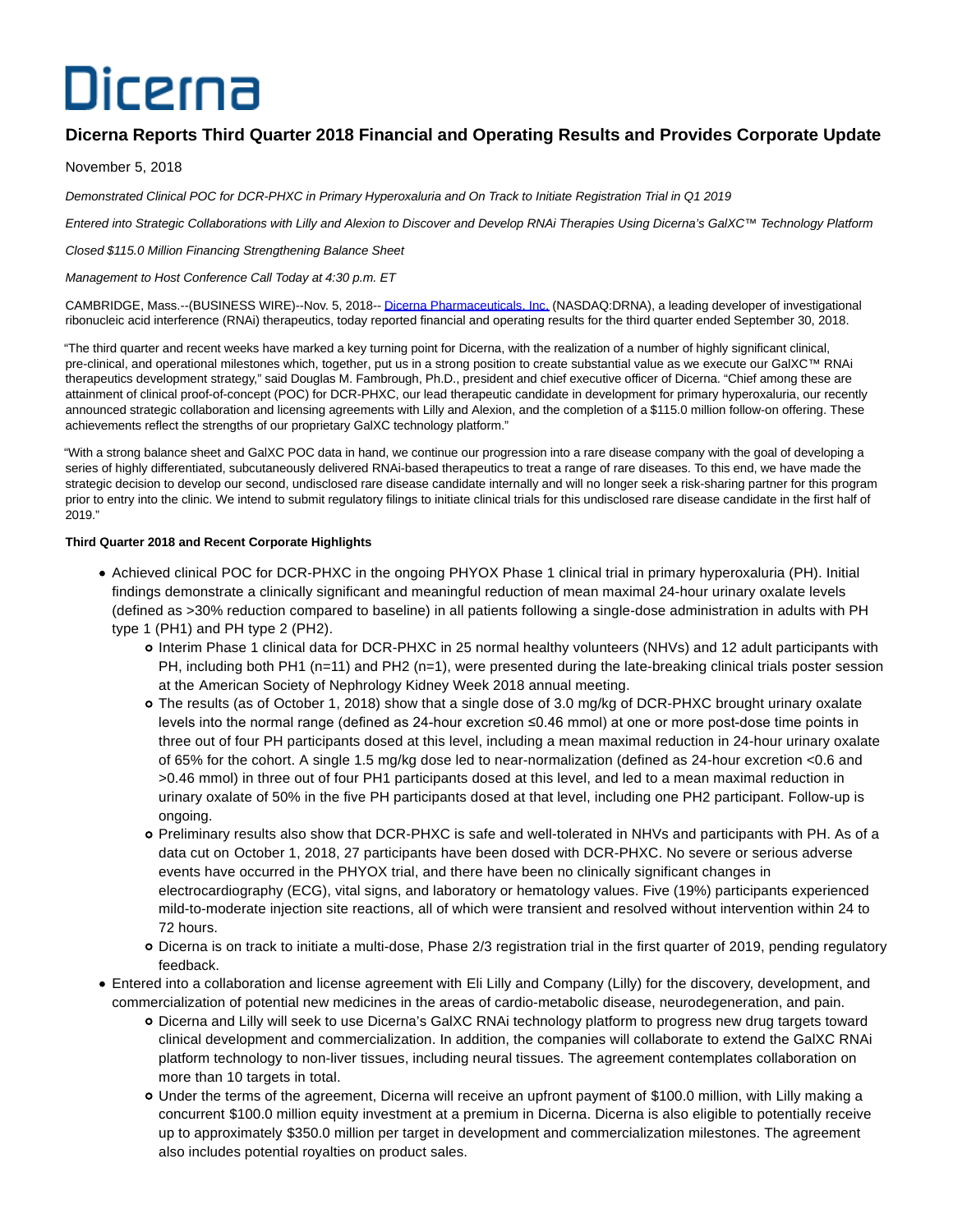# Dicerna

## **Dicerna Reports Third Quarter 2018 Financial and Operating Results and Provides Corporate Update**

## November 5, 2018

Demonstrated Clinical POC for DCR-PHXC in Primary Hyperoxaluria and On Track to Initiate Registration Trial in Q1 2019

Entered into Strategic Collaborations with Lilly and Alexion to Discover and Develop RNAi Therapies Using Dicerna's GalXC™ Technology Platform

Closed \$115.0 Million Financing Strengthening Balance Sheet

Management to Host Conference Call Today at 4:30 p.m. ET

CAMBRIDGE, Mass.--(BUSINESS WIRE)--Nov. 5, 2018-[- Dicerna Pharmaceuticals, Inc. \(](http://cts.businesswire.com/ct/CT?id=smartlink&url=https%3A%2F%2Fdicerna.com%2F&esheet=51894643&newsitemid=20181105005942&lan=en-US&anchor=Dicerna+Pharmaceuticals%2C+Inc.&index=1&md5=7f8e3aca3ae3b642c0c0a229cd1ab633)NASDAQ:DRNA), a leading developer of investigational ribonucleic acid interference (RNAi) therapeutics, today reported financial and operating results for the third quarter ended September 30, 2018.

"The third quarter and recent weeks have marked a key turning point for Dicerna, with the realization of a number of highly significant clinical, pre-clinical, and operational milestones which, together, put us in a strong position to create substantial value as we execute our GalXC™ RNAi therapeutics development strategy," said Douglas M. Fambrough, Ph.D., president and chief executive officer of Dicerna. "Chief among these are attainment of clinical proof-of-concept (POC) for DCR-PHXC, our lead therapeutic candidate in development for primary hyperoxaluria, our recently announced strategic collaboration and licensing agreements with Lilly and Alexion, and the completion of a \$115.0 million follow-on offering. These achievements reflect the strengths of our proprietary GalXC technology platform."

"With a strong balance sheet and GalXC POC data in hand, we continue our progression into a rare disease company with the goal of developing a series of highly differentiated, subcutaneously delivered RNAi-based therapeutics to treat a range of rare diseases. To this end, we have made the strategic decision to develop our second, undisclosed rare disease candidate internally and will no longer seek a risk-sharing partner for this program prior to entry into the clinic. We intend to submit regulatory filings to initiate clinical trials for this undisclosed rare disease candidate in the first half of 2019."

## **Third Quarter 2018 and Recent Corporate Highlights**

- Achieved clinical POC for DCR-PHXC in the ongoing PHYOX Phase 1 clinical trial in primary hyperoxaluria (PH). Initial findings demonstrate a clinically significant and meaningful reduction of mean maximal 24-hour urinary oxalate levels (defined as >30% reduction compared to baseline) in all patients following a single-dose administration in adults with PH type 1 (PH1) and PH type 2 (PH2).
	- Interim Phase 1 clinical data for DCR-PHXC in 25 normal healthy volunteers (NHVs) and 12 adult participants with PH, including both PH1 (n=11) and PH2 (n=1), were presented during the late-breaking clinical trials poster session at the American Society of Nephrology Kidney Week 2018 annual meeting.
	- The results (as of October 1, 2018) show that a single dose of 3.0 mg/kg of DCR-PHXC brought urinary oxalate levels into the normal range (defined as 24-hour excretion ≤0.46 mmol) at one or more post-dose time points in three out of four PH participants dosed at this level, including a mean maximal reduction in 24-hour urinary oxalate of 65% for the cohort. A single 1.5 mg/kg dose led to near-normalization (defined as 24-hour excretion <0.6 and >0.46 mmol) in three out of four PH1 participants dosed at this level, and led to a mean maximal reduction in urinary oxalate of 50% in the five PH participants dosed at that level, including one PH2 participant. Follow-up is ongoing.
	- Preliminary results also show that DCR-PHXC is safe and well-tolerated in NHVs and participants with PH. As of a data cut on October 1, 2018, 27 participants have been dosed with DCR-PHXC. No severe or serious adverse events have occurred in the PHYOX trial, and there have been no clinically significant changes in electrocardiography (ECG), vital signs, and laboratory or hematology values. Five (19%) participants experienced mild-to-moderate injection site reactions, all of which were transient and resolved without intervention within 24 to 72 hours.
	- Dicerna is on track to initiate a multi-dose, Phase 2/3 registration trial in the first quarter of 2019, pending regulatory feedback.
- Entered into a collaboration and license agreement with Eli Lilly and Company (Lilly) for the discovery, development, and commercialization of potential new medicines in the areas of cardio-metabolic disease, neurodegeneration, and pain.
	- Dicerna and Lilly will seek to use Dicerna's GalXC RNAi technology platform to progress new drug targets toward clinical development and commercialization. In addition, the companies will collaborate to extend the GalXC RNAi platform technology to non-liver tissues, including neural tissues. The agreement contemplates collaboration on more than 10 targets in total.
	- Under the terms of the agreement, Dicerna will receive an upfront payment of \$100.0 million, with Lilly making a concurrent \$100.0 million equity investment at a premium in Dicerna. Dicerna is also eligible to potentially receive up to approximately \$350.0 million per target in development and commercialization milestones. The agreement also includes potential royalties on product sales.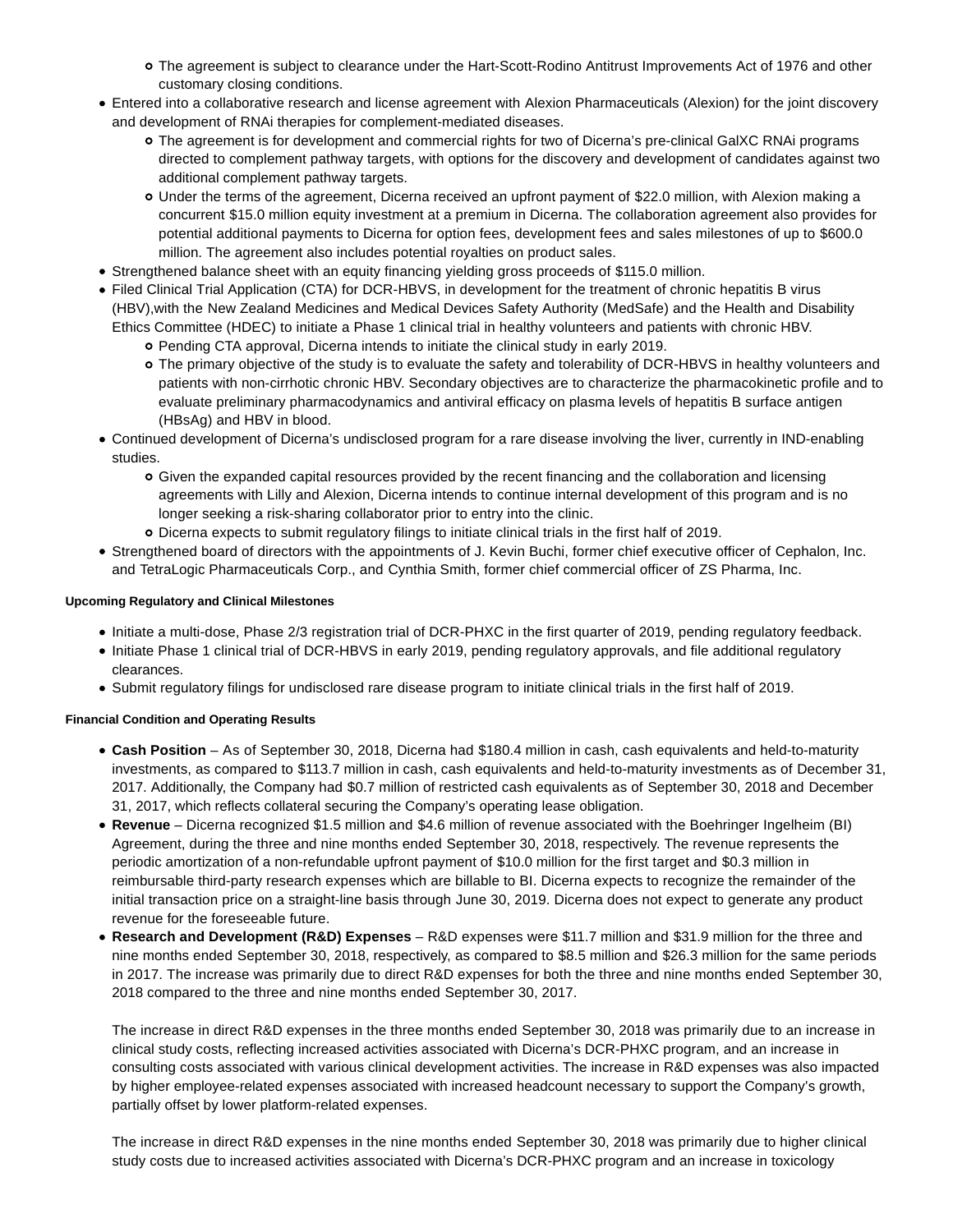- The agreement is subject to clearance under the Hart-Scott-Rodino Antitrust Improvements Act of 1976 and other customary closing conditions.
- Entered into a collaborative research and license agreement with Alexion Pharmaceuticals (Alexion) for the joint discovery and development of RNAi therapies for complement-mediated diseases.
	- The agreement is for development and commercial rights for two of Dicerna's pre-clinical GalXC RNAi programs directed to complement pathway targets, with options for the discovery and development of candidates against two additional complement pathway targets.
	- Under the terms of the agreement, Dicerna received an upfront payment of \$22.0 million, with Alexion making a concurrent \$15.0 million equity investment at a premium in Dicerna. The collaboration agreement also provides for potential additional payments to Dicerna for option fees, development fees and sales milestones of up to \$600.0 million. The agreement also includes potential royalties on product sales.
- Strengthened balance sheet with an equity financing yielding gross proceeds of \$115.0 million.
- Filed Clinical Trial Application (CTA) for DCR-HBVS, in development for the treatment of chronic hepatitis B virus (HBV),with the New Zealand Medicines and Medical Devices Safety Authority (MedSafe) and the Health and Disability Ethics Committee (HDEC) to initiate a Phase 1 clinical trial in healthy volunteers and patients with chronic HBV.
	- Pending CTA approval, Dicerna intends to initiate the clinical study in early 2019.
	- The primary objective of the study is to evaluate the safety and tolerability of DCR-HBVS in healthy volunteers and patients with non-cirrhotic chronic HBV. Secondary objectives are to characterize the pharmacokinetic profile and to evaluate preliminary pharmacodynamics and antiviral efficacy on plasma levels of hepatitis B surface antigen (HBsAg) and HBV in blood.
- Continued development of Dicerna's undisclosed program for a rare disease involving the liver, currently in IND-enabling studies.
	- Given the expanded capital resources provided by the recent financing and the collaboration and licensing agreements with Lilly and Alexion, Dicerna intends to continue internal development of this program and is no longer seeking a risk-sharing collaborator prior to entry into the clinic.
	- Dicerna expects to submit regulatory filings to initiate clinical trials in the first half of 2019.
- Strengthened board of directors with the appointments of J. Kevin Buchi, former chief executive officer of Cephalon, Inc. and TetraLogic Pharmaceuticals Corp., and Cynthia Smith, former chief commercial officer of ZS Pharma, Inc.

### **Upcoming Regulatory and Clinical Milestones**

- Initiate a multi-dose, Phase 2/3 registration trial of DCR-PHXC in the first quarter of 2019, pending regulatory feedback.
- Initiate Phase 1 clinical trial of DCR-HBVS in early 2019, pending regulatory approvals, and file additional regulatory clearances.
- Submit regulatory filings for undisclosed rare disease program to initiate clinical trials in the first half of 2019.

## **Financial Condition and Operating Results**

- **Cash Position** As of September 30, 2018, Dicerna had \$180.4 million in cash, cash equivalents and held-to-maturity investments, as compared to \$113.7 million in cash, cash equivalents and held-to-maturity investments as of December 31, 2017. Additionally, the Company had \$0.7 million of restricted cash equivalents as of September 30, 2018 and December 31, 2017, which reflects collateral securing the Company's operating lease obligation.
- **Revenue** Dicerna recognized \$1.5 million and \$4.6 million of revenue associated with the Boehringer Ingelheim (BI) Agreement, during the three and nine months ended September 30, 2018, respectively. The revenue represents the periodic amortization of a non-refundable upfront payment of \$10.0 million for the first target and \$0.3 million in reimbursable third-party research expenses which are billable to BI. Dicerna expects to recognize the remainder of the initial transaction price on a straight-line basis through June 30, 2019. Dicerna does not expect to generate any product revenue for the foreseeable future.
- **Research and Development (R&D) Expenses** R&D expenses were \$11.7 million and \$31.9 million for the three and nine months ended September 30, 2018, respectively, as compared to \$8.5 million and \$26.3 million for the same periods in 2017. The increase was primarily due to direct R&D expenses for both the three and nine months ended September 30, 2018 compared to the three and nine months ended September 30, 2017.

The increase in direct R&D expenses in the three months ended September 30, 2018 was primarily due to an increase in clinical study costs, reflecting increased activities associated with Dicerna's DCR-PHXC program, and an increase in consulting costs associated with various clinical development activities. The increase in R&D expenses was also impacted by higher employee-related expenses associated with increased headcount necessary to support the Company's growth, partially offset by lower platform-related expenses.

The increase in direct R&D expenses in the nine months ended September 30, 2018 was primarily due to higher clinical study costs due to increased activities associated with Dicerna's DCR-PHXC program and an increase in toxicology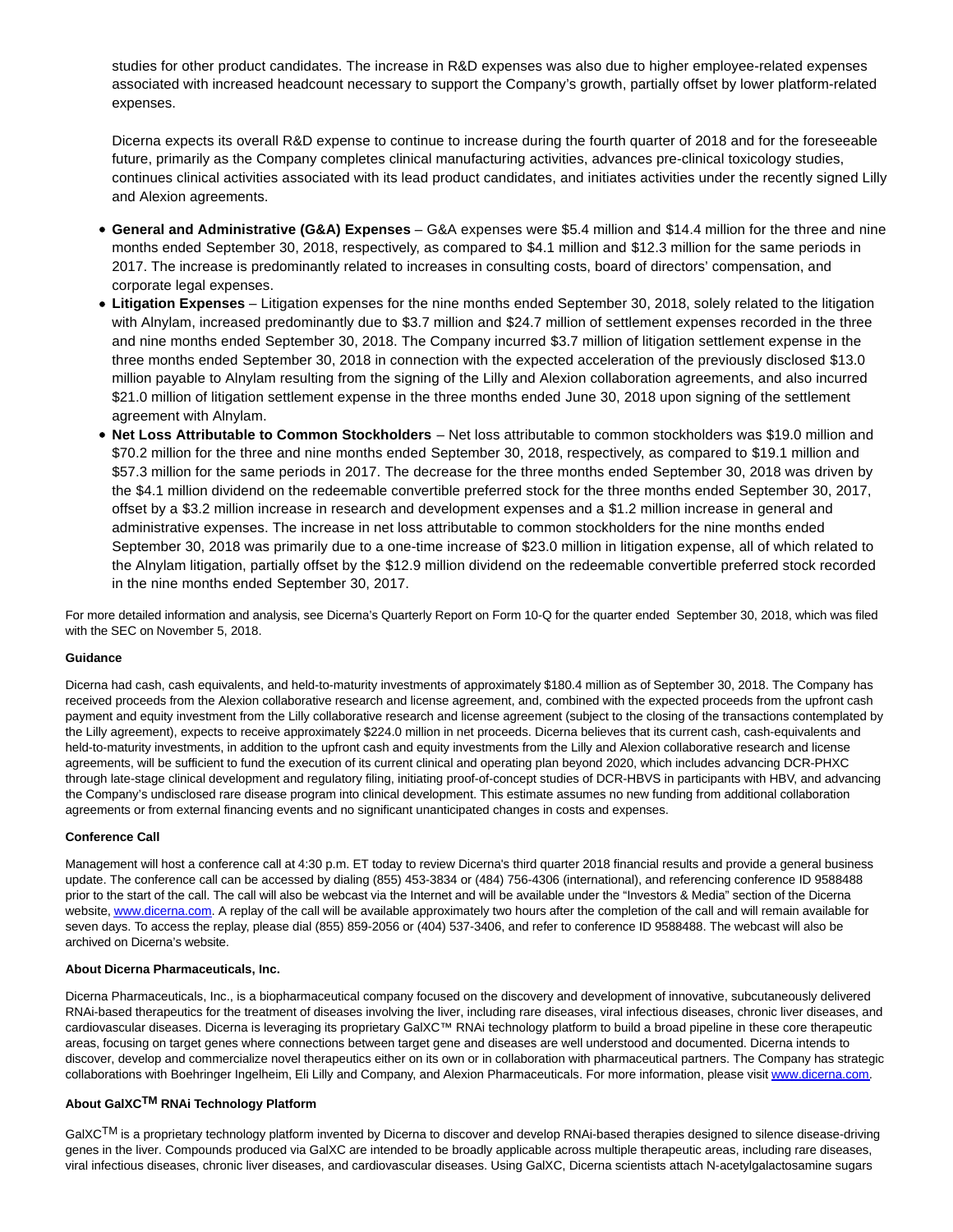studies for other product candidates. The increase in R&D expenses was also due to higher employee-related expenses associated with increased headcount necessary to support the Company's growth, partially offset by lower platform-related expenses.

Dicerna expects its overall R&D expense to continue to increase during the fourth quarter of 2018 and for the foreseeable future, primarily as the Company completes clinical manufacturing activities, advances pre-clinical toxicology studies, continues clinical activities associated with its lead product candidates, and initiates activities under the recently signed Lilly and Alexion agreements.

- **General and Administrative (G&A) Expenses** G&A expenses were \$5.4 million and \$14.4 million for the three and nine months ended September 30, 2018, respectively, as compared to \$4.1 million and \$12.3 million for the same periods in 2017. The increase is predominantly related to increases in consulting costs, board of directors' compensation, and corporate legal expenses.
- **Litigation Expenses** Litigation expenses for the nine months ended September 30, 2018, solely related to the litigation with Alnylam, increased predominantly due to \$3.7 million and \$24.7 million of settlement expenses recorded in the three and nine months ended September 30, 2018. The Company incurred \$3.7 million of litigation settlement expense in the three months ended September 30, 2018 in connection with the expected acceleration of the previously disclosed \$13.0 million payable to Alnylam resulting from the signing of the Lilly and Alexion collaboration agreements, and also incurred \$21.0 million of litigation settlement expense in the three months ended June 30, 2018 upon signing of the settlement agreement with Alnylam.
- **Net Loss Attributable to Common Stockholders**  Net loss attributable to common stockholders was \$19.0 million and \$70.2 million for the three and nine months ended September 30, 2018, respectively, as compared to \$19.1 million and \$57.3 million for the same periods in 2017. The decrease for the three months ended September 30, 2018 was driven by the \$4.1 million dividend on the redeemable convertible preferred stock for the three months ended September 30, 2017, offset by a \$3.2 million increase in research and development expenses and a \$1.2 million increase in general and administrative expenses. The increase in net loss attributable to common stockholders for the nine months ended September 30, 2018 was primarily due to a one-time increase of \$23.0 million in litigation expense, all of which related to the Alnylam litigation, partially offset by the \$12.9 million dividend on the redeemable convertible preferred stock recorded in the nine months ended September 30, 2017.

For more detailed information and analysis, see Dicerna's Quarterly Report on Form 10-Q for the quarter ended September 30, 2018, which was filed with the SEC on November 5, 2018.

#### **Guidance**

Dicerna had cash, cash equivalents, and held-to-maturity investments of approximately \$180.4 million as of September 30, 2018. The Company has received proceeds from the Alexion collaborative research and license agreement, and, combined with the expected proceeds from the upfront cash payment and equity investment from the Lilly collaborative research and license agreement (subject to the closing of the transactions contemplated by the Lilly agreement), expects to receive approximately \$224.0 million in net proceeds. Dicerna believes that its current cash, cash-equivalents and held-to-maturity investments, in addition to the upfront cash and equity investments from the Lilly and Alexion collaborative research and license agreements, will be sufficient to fund the execution of its current clinical and operating plan beyond 2020, which includes advancing DCR-PHXC through late-stage clinical development and regulatory filing, initiating proof-of-concept studies of DCR-HBVS in participants with HBV, and advancing the Company's undisclosed rare disease program into clinical development. This estimate assumes no new funding from additional collaboration agreements or from external financing events and no significant unanticipated changes in costs and expenses.

#### **Conference Call**

Management will host a conference call at 4:30 p.m. ET today to review Dicerna's third quarter 2018 financial results and provide a general business update. The conference call can be accessed by dialing (855) 453-3834 or (484) 756-4306 (international), and referencing conference ID 9588488 prior to the start of the call. The call will also be webcast via the Internet and will be available under the "Investors & Media" section of the Dicerna website[, www.dicerna.com.](http://cts.businesswire.com/ct/CT?id=smartlink&url=http%3A%2F%2Fwww.dicerna.com&esheet=51894643&newsitemid=20181105005942&lan=en-US&anchor=www.dicerna.com&index=2&md5=95815f1002b669c7278bf5d2fb4c0dfe) A replay of the call will be available approximately two hours after the completion of the call and will remain available for seven days. To access the replay, please dial (855) 859-2056 or (404) 537-3406, and refer to conference ID 9588488. The webcast will also be archived on Dicerna's website.

#### **About Dicerna Pharmaceuticals, Inc.**

Dicerna Pharmaceuticals, Inc., is a biopharmaceutical company focused on the discovery and development of innovative, subcutaneously delivered RNAi-based therapeutics for the treatment of diseases involving the liver, including rare diseases, viral infectious diseases, chronic liver diseases, and cardiovascular diseases. Dicerna is leveraging its proprietary GalXC™ RNAi technology platform to build a broad pipeline in these core therapeutic areas, focusing on target genes where connections between target gene and diseases are well understood and documented. Dicerna intends to discover, develop and commercialize novel therapeutics either on its own or in collaboration with pharmaceutical partners. The Company has strategic collaborations with Boehringer Ingelheim, Eli Lilly and Company, and Alexion Pharmaceuticals. For more information, please visit [www.dicerna.com.](http://cts.businesswire.com/ct/CT?id=smartlink&url=http%3A%2F%2Fwww.dicerna.com&esheet=51894643&newsitemid=20181105005942&lan=en-US&anchor=www.dicerna.com&index=3&md5=35fd593542897377b580a6970afd87d6)

## **About GalXCTM RNAi Technology Platform**

GalXC<sup>TM</sup> is a proprietary technology platform invented by Dicerna to discover and develop RNAi-based therapies designed to silence disease-driving genes in the liver. Compounds produced via GalXC are intended to be broadly applicable across multiple therapeutic areas, including rare diseases, viral infectious diseases, chronic liver diseases, and cardiovascular diseases. Using GalXC, Dicerna scientists attach N-acetylgalactosamine sugars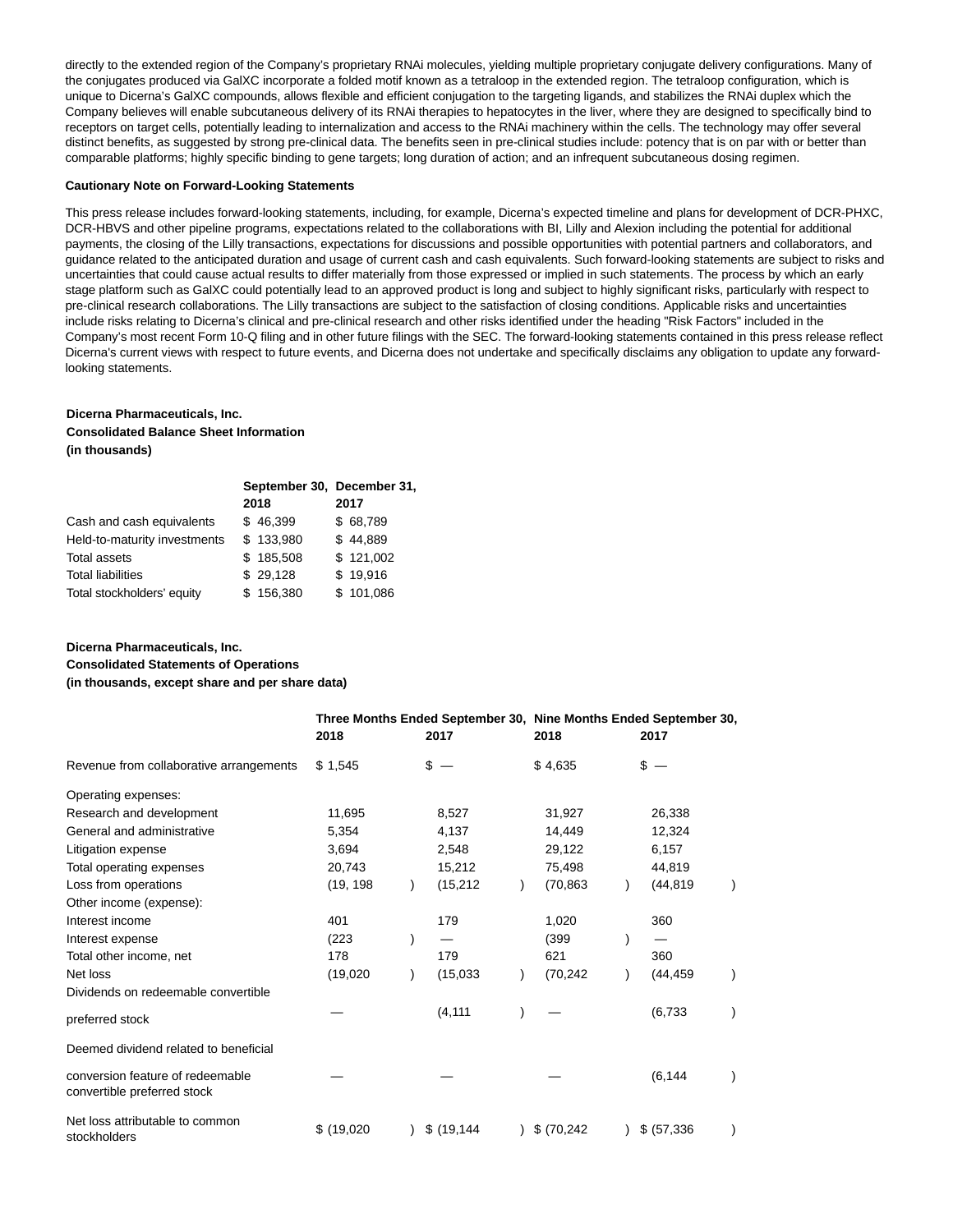directly to the extended region of the Company's proprietary RNAi molecules, yielding multiple proprietary conjugate delivery configurations. Many of the conjugates produced via GalXC incorporate a folded motif known as a tetraloop in the extended region. The tetraloop configuration, which is unique to Dicerna's GalXC compounds, allows flexible and efficient conjugation to the targeting ligands, and stabilizes the RNAi duplex which the Company believes will enable subcutaneous delivery of its RNAi therapies to hepatocytes in the liver, where they are designed to specifically bind to receptors on target cells, potentially leading to internalization and access to the RNAi machinery within the cells. The technology may offer several distinct benefits, as suggested by strong pre-clinical data. The benefits seen in pre-clinical studies include: potency that is on par with or better than comparable platforms; highly specific binding to gene targets; long duration of action; and an infrequent subcutaneous dosing regimen.

#### **Cautionary Note on Forward-Looking Statements**

This press release includes forward-looking statements, including, for example, Dicerna's expected timeline and plans for development of DCR-PHXC, DCR-HBVS and other pipeline programs, expectations related to the collaborations with BI, Lilly and Alexion including the potential for additional payments, the closing of the Lilly transactions, expectations for discussions and possible opportunities with potential partners and collaborators, and guidance related to the anticipated duration and usage of current cash and cash equivalents. Such forward-looking statements are subject to risks and uncertainties that could cause actual results to differ materially from those expressed or implied in such statements. The process by which an early stage platform such as GalXC could potentially lead to an approved product is long and subject to highly significant risks, particularly with respect to pre-clinical research collaborations. The Lilly transactions are subject to the satisfaction of closing conditions. Applicable risks and uncertainties include risks relating to Dicerna's clinical and pre-clinical research and other risks identified under the heading "Risk Factors" included in the Company's most recent Form 10-Q filing and in other future filings with the SEC. The forward-looking statements contained in this press release reflect Dicerna's current views with respect to future events, and Dicerna does not undertake and specifically disclaims any obligation to update any forwardlooking statements.

#### **Dicerna Pharmaceuticals, Inc.**

**Consolidated Balance Sheet Information (in thousands)**

|                              | September 30, December 31, | 2017      |  |  |
|------------------------------|----------------------------|-----------|--|--|
|                              | 2018                       |           |  |  |
| Cash and cash equivalents    | \$46,399                   | \$68,789  |  |  |
| Held-to-maturity investments | \$133,980                  | \$44,889  |  |  |
| <b>Total assets</b>          | \$185.508                  | \$121,002 |  |  |
| <b>Total liabilities</b>     | \$29,128                   | \$19,916  |  |  |
| Total stockholders' equity   | \$156,380                  | \$101,086 |  |  |

#### **Dicerna Pharmaceuticals, Inc.**

#### **Consolidated Statements of Operations**

**(in thousands, except share and per share data)**

|                                                                 | Three Months Ended September 30, Nine Months Ended September 30,<br>2018<br>2017 |  | 2018        |              | 2017 |             |  |
|-----------------------------------------------------------------|----------------------------------------------------------------------------------|--|-------------|--------------|------|-------------|--|
| Revenue from collaborative arrangements                         | \$1,545                                                                          |  | \$          | \$4,635      |      | \$          |  |
| Operating expenses:                                             |                                                                                  |  |             |              |      |             |  |
| Research and development                                        | 11,695                                                                           |  | 8,527       | 31,927       |      | 26,338      |  |
| General and administrative                                      | 5,354                                                                            |  | 4,137       | 14,449       |      | 12,324      |  |
| Litigation expense                                              | 3,694                                                                            |  | 2,548       | 29,122       |      | 6,157       |  |
| Total operating expenses                                        | 20,743                                                                           |  | 15,212      | 75,498       |      | 44,819      |  |
| Loss from operations                                            | (19, 198)                                                                        |  | (15, 212)   | (70, 863)    |      | (44, 819)   |  |
| Other income (expense):                                         |                                                                                  |  |             |              |      |             |  |
| Interest income                                                 | 401                                                                              |  | 179         | 1,020        |      | 360         |  |
| Interest expense                                                | (223)                                                                            |  |             | (399)        |      |             |  |
| Total other income, net                                         | 178                                                                              |  | 179         | 621          |      | 360         |  |
| Net loss                                                        | (19,020)                                                                         |  | (15,033)    | (70, 242)    |      | (44, 459)   |  |
| Dividends on redeemable convertible                             |                                                                                  |  |             |              |      |             |  |
| preferred stock                                                 |                                                                                  |  | (4, 111)    |              |      | (6,733)     |  |
| Deemed dividend related to beneficial                           |                                                                                  |  |             |              |      |             |  |
| conversion feature of redeemable<br>convertible preferred stock |                                                                                  |  |             |              |      | (6, 144)    |  |
| Net loss attributable to common<br>stockholders                 | \$ (19,020)                                                                      |  | \$(19, 144) | \$ (70, 242) |      | \$ (57,336) |  |